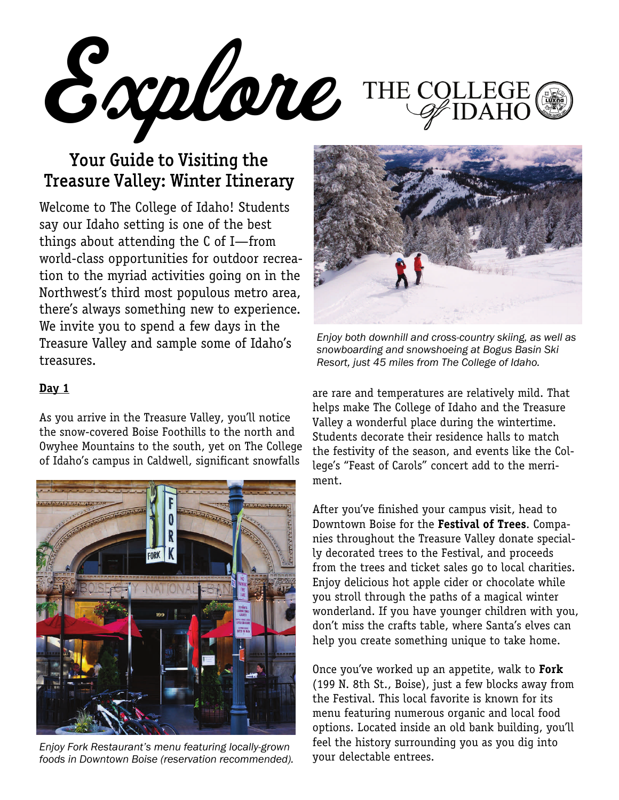Explore THE COLI

# Your Guide to Visiting the Treasure Valley: Winter Itinerary

Welcome to The College of Idaho! Students say our Idaho setting is one of the best things about attending the C of I—from world-class opportunities for outdoor recreation to the myriad activities going on in the Northwest's third most populous metro area, there's always something new to experience. We invite you to spend a few days in the Treasure Valley and sample some of Idaho's treasures.

#### **Day 1**

As you arrive in the Treasure Valley, you'll notice the snow-covered Boise Foothills to the north and Owyhee Mountains to the south, yet on The College of Idaho's campus in Caldwell, significant snowfalls



Enjoy Fork Restaurant's menu featuring locally-grown and the fustory surfound<br>foods in Downtown Boise (reservation recommended) and **VOUT delectable entrees.** *foods in Downtown Boise (reservation recommended).* 



*Enjoy both downhill and cross-country skiing, as well as snowboarding and snowshoeing at Bogus Basin Ski Resort, just 45 miles from The College of Idaho.* 

are rare and temperatures are relatively mild. That helps make The College of Idaho and the Treasure Valley a wonderful place during the wintertime. Students decorate their residence halls to match the festivity of the season, and events like the College's "Feast of Carols" concert add to the merriment.

After you've finished your campus visit, head to Downtown Boise for the **Festival of Trees**. Companies throughout the Treasure Valley donate specially decorated trees to the Festival, and proceeds from the trees and ticket sales go to local charities. Enjoy delicious hot apple cider or chocolate while you stroll through the paths of a magical winter wonderland. If you have younger children with you, don't miss the crafts table, where Santa's elves can help you create something unique to take home.

Once you've worked up an appetite, walk to **Fork**  (199 N. 8th St., Boise), just a few blocks away from the Festival. This local favorite is known for its menu featuring numerous organic and local food options. Located inside an old bank building, you'll feel the history surrounding you as you dig into